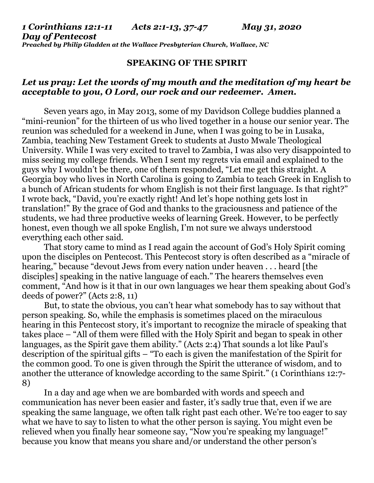#### *1 Corinthians 12:1-11 Acts 2:1-13, 37-47 May 31, 2020 Day of Pentecost Preached by Philip Gladden at the Wallace Presbyterian Church, Wallace, NC*

### **SPEAKING OF THE SPIRIT**

# *Let us pray: Let the words of my mouth and the meditation of my heart be acceptable to you, O Lord, our rock and our redeemer. Amen.*

Seven years ago, in May 2013, some of my Davidson College buddies planned a "mini-reunion" for the thirteen of us who lived together in a house our senior year. The reunion was scheduled for a weekend in June, when I was going to be in Lusaka, Zambia, teaching New Testament Greek to students at Justo Mwale Theological University. While I was very excited to travel to Zambia, I was also very disappointed to miss seeing my college friends. When I sent my regrets via email and explained to the guys why I wouldn't be there, one of them responded, "Let me get this straight. A Georgia boy who lives in North Carolina is going to Zambia to teach Greek in English to a bunch of African students for whom English is not their first language. Is that right?" I wrote back, "David, you're exactly right! And let's hope nothing gets lost in translation!" By the grace of God and thanks to the graciousness and patience of the students, we had three productive weeks of learning Greek. However, to be perfectly honest, even though we all spoke English, I'm not sure we always understood everything each other said.

That story came to mind as I read again the account of God's Holy Spirit coming upon the disciples on Pentecost. This Pentecost story is often described as a "miracle of hearing," because "devout Jews from every nation under heaven . . . heard [the disciples] speaking in the native language of each." The hearers themselves even comment, "And how is it that in our own languages we hear them speaking about God's deeds of power?" (Acts 2:8, 11)

But, to state the obvious, you can't hear what somebody has to say without that person speaking. So, while the emphasis is sometimes placed on the miraculous hearing in this Pentecost story, it's important to recognize the miracle of speaking that takes place – "All of them were filled with the Holy Spirit and began to speak in other languages, as the Spirit gave them ability." (Acts 2:4) That sounds a lot like Paul's description of the spiritual gifts – "To each is given the manifestation of the Spirit for the common good. To one is given through the Spirit the utterance of wisdom, and to another the utterance of knowledge according to the same Spirit." (1 Corinthians 12:7- 8)

In a day and age when we are bombarded with words and speech and communication has never been easier and faster, it's sadly true that, even if we are speaking the same language, we often talk right past each other. We're too eager to say what we have to say to listen to what the other person is saying. You might even be relieved when you finally hear someone say, "Now you're speaking my language!" because you know that means you share and/or understand the other person's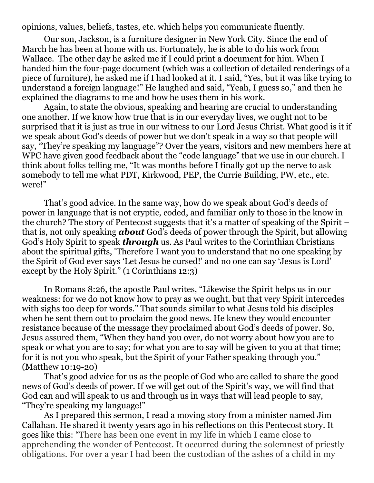opinions, values, beliefs, tastes, etc. which helps you communicate fluently.

Our son, Jackson, is a furniture designer in New York City. Since the end of March he has been at home with us. Fortunately, he is able to do his work from Wallace. The other day he asked me if I could print a document for him. When I handed him the four-page document (which was a collection of detailed renderings of a piece of furniture), he asked me if I had looked at it. I said, "Yes, but it was like trying to understand a foreign language!" He laughed and said, "Yeah, I guess so," and then he explained the diagrams to me and how he uses them in his work.

Again, to state the obvious, speaking and hearing are crucial to understanding one another. If we know how true that is in our everyday lives, we ought not to be surprised that it is just as true in our witness to our Lord Jesus Christ. What good is it if we speak about God's deeds of power but we don't speak in a way so that people will say, "They're speaking my language"? Over the years, visitors and new members here at WPC have given good feedback about the "code language" that we use in our church. I think about folks telling me, "It was months before  $\tilde{I}$  finally got up the nerve to ask somebody to tell me what PDT, Kirkwood, PEP, the Currie Building, PW, etc., etc. were!"

That's good advice. In the same way, how do we speak about God's deeds of power in language that is not cryptic, coded, and familiar only to those in the know in the church? The story of Pentecost suggests that it's a matter of speaking of the Spirit – that is, not only speaking *about* God's deeds of power through the Spirit, but allowing God's Holy Spirit to speak *through* us. As Paul writes to the Corinthian Christians about the spiritual gifts, "Therefore I want you to understand that no one speaking by the Spirit of God ever says 'Let Jesus be cursed!' and no one can say 'Jesus is Lord' except by the Holy Spirit." (1 Corinthians 12:3)

In Romans 8:26, the apostle Paul writes, "Likewise the Spirit helps us in our weakness: for we do not know how to pray as we ought, but that very Spirit intercedes with sighs too deep for words." That sounds similar to what Jesus told his disciples when he sent them out to proclaim the good news. He knew they would encounter resistance because of the message they proclaimed about God's deeds of power. So, Jesus assured them, "When they hand you over, do not worry about how you are to speak or what you are to say; for what you are to say will be given to you at that time; for it is not you who speak, but the Spirit of your Father speaking through you." (Matthew 10:19-20)

That's good advice for us as the people of God who are called to share the good news of God's deeds of power. If we will get out of the Spirit's way, we will find that God can and will speak to us and through us in ways that will lead people to say, "They're speaking my language!"

As I prepared this sermon, I read a moving story from a minister named Jim Callahan. He shared it twenty years ago in his reflections on this Pentecost story. It goes like this: "There has been one event in my life in which I came close to apprehending the wonder of Pentecost. It occurred during the solemnest of priestly obligations. For over a year I had been the custodian of the ashes of a child in my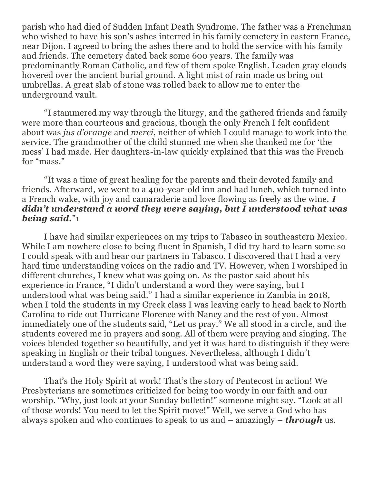parish who had died of Sudden Infant Death Syndrome. The father was a Frenchman who wished to have his son's ashes interred in his family cemetery in eastern France, near Dijon. I agreed to bring the ashes there and to hold the service with his family and friends. The cemetery dated back some 600 years. The family was predominantly Roman Catholic, and few of them spoke English. Leaden gray clouds hovered over the ancient burial ground. A light mist of rain made us bring out umbrellas. A great slab of stone was rolled back to allow me to enter the underground vault.

"I stammered my way through the liturgy, and the gathered friends and family were more than courteous and gracious, though the only French I felt confident about was *jus d'orange* and *merci*, neither of which I could manage to work into the service. The grandmother of the child stunned me when she thanked me for 'the mess' I had made. Her daughters-in-law quickly explained that this was the French for "mass."

"It was a time of great healing for the parents and their devoted family and friends. Afterward, we went to a 400-year-old inn and had lunch, which turned into a French wake, with joy and camaraderie and love flowing as freely as the wine. *I didn't understand a word they were saying, but I understood what was being said.*"1

I have had similar experiences on my trips to Tabasco in southeastern Mexico. While I am nowhere close to being fluent in Spanish, I did try hard to learn some so I could speak with and hear our partners in Tabasco. I discovered that I had a very hard time understanding voices on the radio and TV. However, when I worshiped in different churches, I knew what was going on. As the pastor said about his experience in France, "I didn't understand a word they were saying, but I understood what was being said." I had a similar experience in Zambia in 2018, when I told the students in my Greek class I was leaving early to head back to North Carolina to ride out Hurricane Florence with Nancy and the rest of you. Almost immediately one of the students said, "Let us pray." We all stood in a circle, and the students covered me in prayers and song. All of them were praying and singing. The voices blended together so beautifully, and yet it was hard to distinguish if they were speaking in English or their tribal tongues. Nevertheless, although I didn't understand a word they were saying, I understood what was being said.

That's the Holy Spirit at work! That's the story of Pentecost in action! We Presbyterians are sometimes criticized for being too wordy in our faith and our worship. "Why, just look at your Sunday bulletin!" someone might say. "Look at all of those words! You need to let the Spirit move!" Well, we serve a God who has always spoken and who continues to speak to us and – amazingly – *through* us.